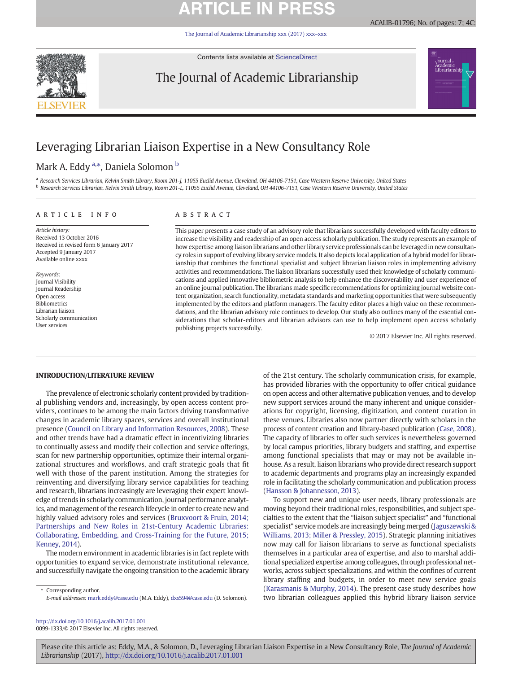# **ARTICLE IN PRES**

[The Journal of Academic Librarianship xxx \(2017\) xxx](http://dx.doi.org/10.1016/j.acalib.2017.01.001)–xxx



Contents lists available at [ScienceDirect](http://www.sciencedirect.com/science/journal/)

## The Journal of Academic Librarianship





## Leveraging Librarian Liaison Expertise in a New Consultancy Role

## Mark A. Eddy <sup>a,</sup>\*, Daniela Solomon <sup>b</sup>

a Research Services Librarian, Kelvin Smith Library, Room 201-J, 11055 Euclid Avenue, Cleveland, OH 44106-7151, Case Western Reserve University, United States <sup>b</sup> Research Services Librarian, Kelvin Smith Library, Room 201-L, 11055 Euclid Avenue, Cleveland, OH 44106-7151, Case Western Reserve University, United States

### article info abstract

Article history: Received 13 October 2016 Received in revised form 6 January 2017 Accepted 9 January 2017 Available online xxxx

Keywords: Journal Visibility Journal Readership Open access Bibliometrics Librarian liaison Scholarly communication User services

This paper presents a case study of an advisory role that librarians successfully developed with faculty editors to increase the visibility and readership of an open access scholarly publication. The study represents an example of how expertise among liaison librarians and other library service professionals can be leveraged in new consultancy roles in support of evolving library service models. It also depicts local application of a hybrid model for librarianship that combines the functional specialist and subject librarian liaison roles in implementing advisory activities and recommendations. The liaison librarians successfully used their knowledge of scholarly communications and applied innovative bibliometric analysis to help enhance the discoverability and user experience of an online journal publication. The librarians made specific recommendations for optimizing journal website content organization, search functionality, metadata standards and marketing opportunities that were subsequently implemented by the editors and platform managers. The faculty editor places a high value on these recommendations, and the librarian advisory role continues to develop. Our study also outlines many of the essential considerations that scholar-editors and librarian advisors can use to help implement open access scholarly publishing projects successfully.

© 2017 Elsevier Inc. All rights reserved.

### INTRODUCTION/LITERATURE REVIEW

The prevalence of electronic scholarly content provided by traditional publishing vendors and, increasingly, by open access content providers, continues to be among the main factors driving transformative changes in academic library spaces, services and overall institutional presence [\(Council on Library and Information Resources, 2008](#page--1-0)). These and other trends have had a dramatic effect in incentivizing libraries to continually assess and modify their collection and service offerings, scan for new partnership opportunities, optimize their internal organizational structures and workflows, and craft strategic goals that fit well with those of the parent institution. Among the strategies for reinventing and diversifying library service capabilities for teaching and research, librarians increasingly are leveraging their expert knowledge of trends in scholarly communication, journal performance analytics, and management of the research lifecycle in order to create new and highly valued advisory roles and services [\(Bruxvoort & Fruin, 2014;](#page--1-0) [Partnerships and New Roles in 21st-Century Academic Libraries:](#page--1-0) [Collaborating, Embedding, and Cross-Training for the Future, 2015;](#page--1-0) [Kenney, 2014\)](#page--1-0).

The modern environment in academic libraries is in fact replete with opportunities to expand service, demonstrate institutional relevance, and successfully navigate the ongoing transition to the academic library

Corresponding author. E-mail addresses: mark.eddy@case.edu (M.A. Eddy), [dxs594@case.edu](mailto:dxs594@case.edu) (D. Solomon). of the 21st century. The scholarly communication crisis, for example, has provided libraries with the opportunity to offer critical guidance on open access and other alternative publication venues, and to develop new support services around the many inherent and unique considerations for copyright, licensing, digitization, and content curation in these venues. Libraries also now partner directly with scholars in the process of content creation and library-based publication ([Case, 2008](#page--1-0)). The capacity of libraries to offer such services is nevertheless governed by local campus priorities, library budgets and staffing, and expertise among functional specialists that may or may not be available inhouse. As a result, liaison librarians who provide direct research support to academic departments and programs play an increasingly expanded role in facilitating the scholarly communication and publication process [\(Hansson & Johannesson, 2013](#page--1-0)).

To support new and unique user needs, library professionals are moving beyond their traditional roles, responsibilities, and subject specialties to the extent that the "liaison subject specialist" and "functional specialist" service models are increasingly being merged ([Jaguszewski &](#page--1-0) [Williams, 2013; Miller & Pressley, 2015\)](#page--1-0). Strategic planning initiatives now may call for liaison librarians to serve as functional specialists themselves in a particular area of expertise, and also to marshal additional specialized expertise among colleagues, through professional networks, across subject specializations, and within the confines of current library staffing and budgets, in order to meet new service goals [\(Karasmanis & Murphy, 2014](#page--1-0)). The present case study describes how two librarian colleagues applied this hybrid library liaison service

<http://dx.doi.org/10.1016/j.acalib.2017.01.001> 0099-1333/© 2017 Elsevier Inc. All rights reserved.

Please cite this article as: Eddy, M.A., & Solomon, D., Leveraging Librarian Liaison Expertise in a New Consultancy Role, The Journal of Academic Librarianship (2017), <http://dx.doi.org/10.1016/j.acalib.2017.01.001>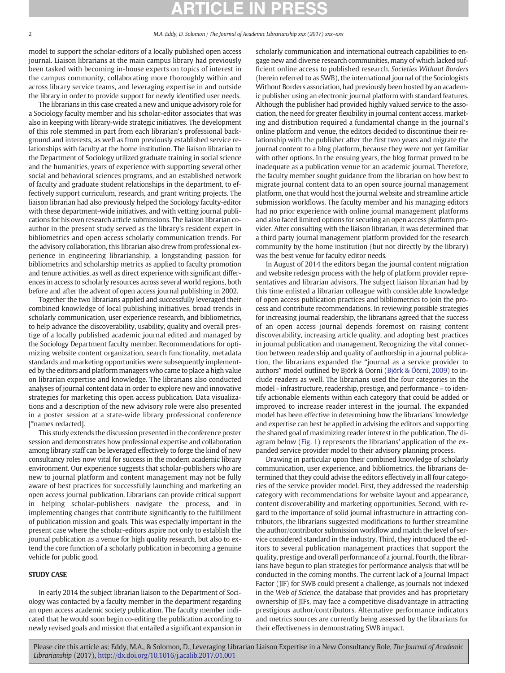#### 2 M.A. Eddy, D. Solomon / The Journal of Academic Librarianship xxx (2017) xxx–xxx

model to support the scholar-editors of a locally published open access journal. Liaison librarians at the main campus library had previously been tasked with becoming in-house experts on topics of interest in the campus community, collaborating more thoroughly within and across library service teams, and leveraging expertise in and outside the library in order to provide support for newly identified user needs.

The librarians in this case created a new and unique advisory role for a Sociology faculty member and his scholar-editor associates that was also in keeping with library-wide strategic initiatives. The development of this role stemmed in part from each librarian's professional background and interests, as well as from previously established service relationships with faculty at the home institution. The liaison librarian to the Department of Sociology utilized graduate training in social science and the humanities, years of experience with supporting several other social and behavioral sciences programs, and an established network of faculty and graduate student relationships in the department, to effectively support curriculum, research, and grant writing projects. The liaison librarian had also previously helped the Sociology faculty-editor with these department-wide initiatives, and with vetting journal publications for his own research article submissions. The liaison librarian coauthor in the present study served as the library's resident expert in bibliometrics and open access scholarly communication trends. For the advisory collaboration, this librarian also drew from professional experience in engineering librarianship, a longstanding passion for bibliometrics and scholarship metrics as applied to faculty promotion and tenure activities, as well as direct experience with significant differences in access to scholarly resources across several world regions, both before and after the advent of open access journal publishing in 2002.

Together the two librarians applied and successfully leveraged their combined knowledge of local publishing initiatives, broad trends in scholarly communication, user experience research, and bibliometrics, to help advance the discoverability, usability, quality and overall prestige of a locally published academic journal edited and managed by the Sociology Department faculty member. Recommendations for optimizing website content organization, search functionality, metadata standards and marketing opportunities were subsequently implemented by the editors and platform managers who came to place a high value on librarian expertise and knowledge. The librarians also conducted analyses of journal content data in order to explore new and innovative strategies for marketing this open access publication. Data visualizations and a description of the new advisory role were also presented in a poster session at a state-wide library professional conference [\*names redacted].

This study extends the discussion presented in the conference poster session and demonstrates how professional expertise and collaboration among library staff can be leveraged effectively to forge the kind of new consultancy roles now vital for success in the modern academic library environment. Our experience suggests that scholar-publishers who are new to journal platform and content management may not be fully aware of best practices for successfully launching and marketing an open access journal publication. Librarians can provide critical support in helping scholar-publishers navigate the process, and in implementing changes that contribute significantly to the fulfillment of publication mission and goals. This was especially important in the present case where the scholar-editors aspire not only to establish the journal publication as a venue for high quality research, but also to extend the core function of a scholarly publication in becoming a genuine vehicle for public good.

### **STUDY CASE**

In early 2014 the subject librarian liaison to the Department of Sociology was contacted by a faculty member in the department regarding an open access academic society publication. The faculty member indicated that he would soon begin co-editing the publication according to newly revised goals and mission that entailed a significant expansion in scholarly communication and international outreach capabilities to engage new and diverse research communities, many of which lacked sufficient online access to published research. Societies Without Borders (herein referred to as SWB), the international journal of the Sociologists Without Borders association, had previously been hosted by an academic publisher using an electronic journal platform with standard features. Although the publisher had provided highly valued service to the association, the need for greater flexibility in journal content access, marketing and distribution required a fundamental change in the journal's online platform and venue, the editors decided to discontinue their relationship with the publisher after the first two years and migrate the journal content to a blog platform, because they were not yet familiar with other options. In the ensuing years, the blog format proved to be inadequate as a publication venue for an academic journal. Therefore, the faculty member sought guidance from the librarian on how best to migrate journal content data to an open source journal management platform, one that would host the journal website and streamline article submission workflows. The faculty member and his managing editors had no prior experience with online journal management platforms and also faced limited options for securing an open access platform provider. After consulting with the liaison librarian, it was determined that a third party journal management platform provided for the research community by the home institution (but not directly by the library) was the best venue for faculty editor needs.

In August of 2014 the editors began the journal content migration and website redesign process with the help of platform provider representatives and librarian advisors. The subject liaison librarian had by this time enlisted a librarian colleague with considerable knowledge of open access publication practices and bibliometrics to join the process and contribute recommendations. In reviewing possible strategies for increasing journal readership, the librarians agreed that the success of an open access journal depends foremost on raising content discoverability, increasing article quality, and adopting best practices in journal publication and management. Recognizing the vital connection between readership and quality of authorship in a journal publication, the librarians expanded the "journal as a service provider to authors" model outlined by Björk & Oorni ([Björk & Öörni, 2009](#page--1-0)) to include readers as well. The librarians used the four categories in the model - infrastructure, readership, prestige, and performance – to identify actionable elements within each category that could be added or improved to increase reader interest in the journal. The expanded model has been effective in determining how the librarians' knowledge and expertise can best be applied in advising the editors and supporting the shared goal of maximizing reader interest in the publication. The diagram below [\(Fig. 1\)](#page--1-0) represents the librarians' application of the expanded service provider model to their advisory planning process.

Drawing in particular upon their combined knowledge of scholarly communication, user experience, and bibliometrics, the librarians determined that they could advise the editors effectively in all four categories of the service provider model. First, they addressed the readership category with recommendations for website layout and appearance, content discoverability and marketing opportunities. Second, with regard to the importance of solid journal infrastructure in attracting contributors, the librarians suggested modifications to further streamline the author/contributor submission workflow and match the level of service considered standard in the industry. Third, they introduced the editors to several publication management practices that support the quality, prestige and overall performance of a journal. Fourth, the librarians have begun to plan strategies for performance analysis that will be conducted in the coming months. The current lack of a Journal Impact Factor (JIF) for SWB could present a challenge, as journals not indexed in the Web of Science, the database that provides and has proprietary ownership of JIFs, may face a competitive disadvantage in attracting prestigious author/contributors. Alternative performance indicators and metrics sources are currently being assessed by the librarians for their effectiveness in demonstrating SWB impact.

Please cite this article as: Eddy, M.A., & Solomon, D., Leveraging Librarian Liaison Expertise in a New Consultancy Role, The Journal of Academic Librarianship (2017), <http://dx.doi.org/10.1016/j.acalib.2017.01.001>